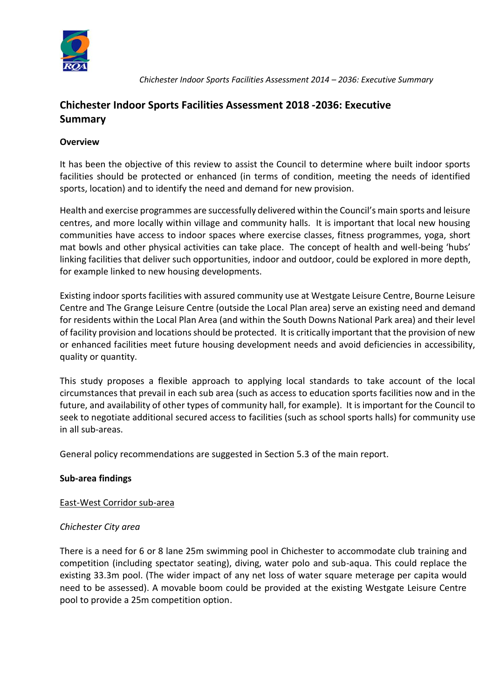

 *Chichester Indoor Sports Facilities Assessment 2014 – 2036: Executive Summary*

# **Chichester Indoor Sports Facilities Assessment 2018 -2036: Executive Summary**

## **Overview**

It has been the objective of this review to assist the Council to determine where built indoor sports facilities should be protected or enhanced (in terms of condition, meeting the needs of identified sports, location) and to identify the need and demand for new provision.

Health and exercise programmes are successfully delivered within the Council's main sports and leisure centres, and more locally within village and community halls. It is important that local new housing communities have access to indoor spaces where exercise classes, fitness programmes, yoga, short mat bowls and other physical activities can take place. The concept of health and well-being 'hubs' linking facilities that deliver such opportunities, indoor and outdoor, could be explored in more depth, for example linked to new housing developments.

Existing indoor sports facilities with assured community use at Westgate Leisure Centre, Bourne Leisure Centre and The Grange Leisure Centre (outside the Local Plan area) serve an existing need and demand for residents within the Local Plan Area (and within the South Downs National Park area) and their level of facility provision and locations should be protected. It is critically important that the provision of new or enhanced facilities meet future housing development needs and avoid deficiencies in accessibility, quality or quantity.

This study proposes a flexible approach to applying local standards to take account of the local circumstances that prevail in each sub area (such as access to education sports facilities now and in the future, and availability of other types of community hall, for example). It is important for the Council to seek to negotiate additional secured access to facilities (such as school sports halls) for community use in all sub-areas.

General policy recommendations are suggested in Section 5.3 of the main report.

## **Sub-area findings**

## East-West Corridor sub-area

## *Chichester City area*

There is a need for 6 or 8 lane 25m swimming pool in Chichester to accommodate club training and competition (including spectator seating), diving, water polo and sub-aqua. This could replace the existing 33.3m pool. (The wider impact of any net loss of water square meterage per capita would need to be assessed). A movable boom could be provided at the existing Westgate Leisure Centre pool to provide a 25m competition option.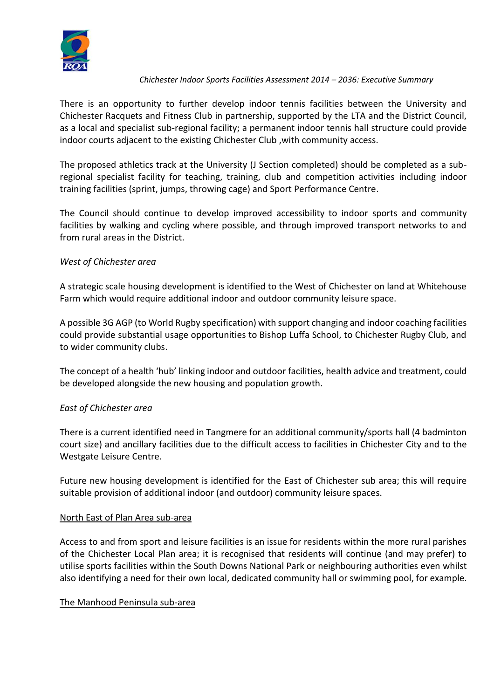

#### *Chichester Indoor Sports Facilities Assessment 2014 – 2036: Executive Summary*

There is an opportunity to further develop indoor tennis facilities between the University and Chichester Racquets and Fitness Club in partnership, supported by the LTA and the District Council, as a local and specialist sub-regional facility; a permanent indoor tennis hall structure could provide indoor courts adjacent to the existing Chichester Club ,with community access.

The proposed athletics track at the University (J Section completed) should be completed as a subregional specialist facility for teaching, training, club and competition activities including indoor training facilities (sprint, jumps, throwing cage) and Sport Performance Centre.

The Council should continue to develop improved accessibility to indoor sports and community facilities by walking and cycling where possible, and through improved transport networks to and from rural areas in the District.

## *West of Chichester area*

A strategic scale housing development is identified to the West of Chichester on land at Whitehouse Farm which would require additional indoor and outdoor community leisure space.

A possible 3G AGP (to World Rugby specification) with support changing and indoor coaching facilities could provide substantial usage opportunities to Bishop Luffa School, to Chichester Rugby Club, and to wider community clubs.

The concept of a health 'hub' linking indoor and outdoor facilities, health advice and treatment, could be developed alongside the new housing and population growth.

## *East of Chichester area*

There is a current identified need in Tangmere for an additional community/sports hall (4 badminton court size) and ancillary facilities due to the difficult access to facilities in Chichester City and to the Westgate Leisure Centre.

Future new housing development is identified for the East of Chichester sub area; this will require suitable provision of additional indoor (and outdoor) community leisure spaces.

## North East of Plan Area sub-area

Access to and from sport and leisure facilities is an issue for residents within the more rural parishes of the Chichester Local Plan area; it is recognised that residents will continue (and may prefer) to utilise sports facilities within the South Downs National Park or neighbouring authorities even whilst also identifying a need for their own local, dedicated community hall or swimming pool, for example.

#### The Manhood Peninsula sub-area